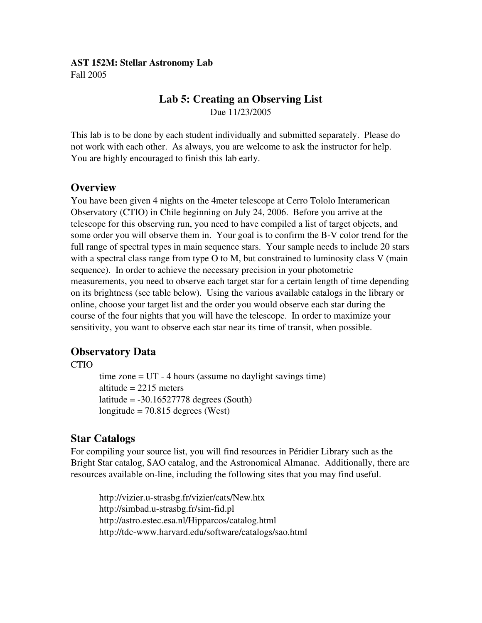#### AST 152M: Stellar Astronomy Lab Fall 2005

### Lab 5: Creating an Observing List Due 11/23/2005

This lab is to be done by each student individually and submitted separately. Please do not work with each other. As always, you are welcome to ask the instructor for help. You are highly encouraged to finish this lab early.

#### **Overview**

You have been given 4 nights on the 4meter telescope at Cerro Tololo Interamerican Observatory (CTIO) in Chile beginning on July 24, 2006. Before you arrive at the telescope for this observing run, you need to have compiled a list of target objects, and some order you will observe them in. Your goal is to confirm the B-V color trend for the full range of spectral types in main sequence stars. Your sample needs to include 20 stars with a spectral class range from type O to M, but constrained to luminosity class V (main sequence). In order to achieve the necessary precision in your photometric measurements, you need to observe each target star for a certain length of time depending on its brightness (see table below). Using the various available catalogs in the library or online, choose your target list and the order you would observe each star during the course of the four nights that you will have the telescope. In order to maximize your sensitivity, you want to observe each star near its time of transit, when possible.

#### Observatory Data

CTIO

time zone  $=$  UT  $-$  4 hours (assume no daylight savings time) altitude  $= 2215$  meters latitude  $= -30.16527778$  degrees (South) longitude =  $70.815$  degrees (West)

## Star Catalogs

For compiling your source list, you will find resources in Péridier Library such as the Bright Star catalog, SAO catalog, and the Astronomical Almanac. Additionally, there are resources available on-line, including the following sites that you may find useful.

http://vizier.u-strasbg.fr/vizier/cats/New.htx http://simbad.u-strasbg.fr/sim-fid.pl http://astro.estec.esa.nl/Hipparcos/catalog.html http://tdc-www.harvard.edu/software/catalogs/sao.html